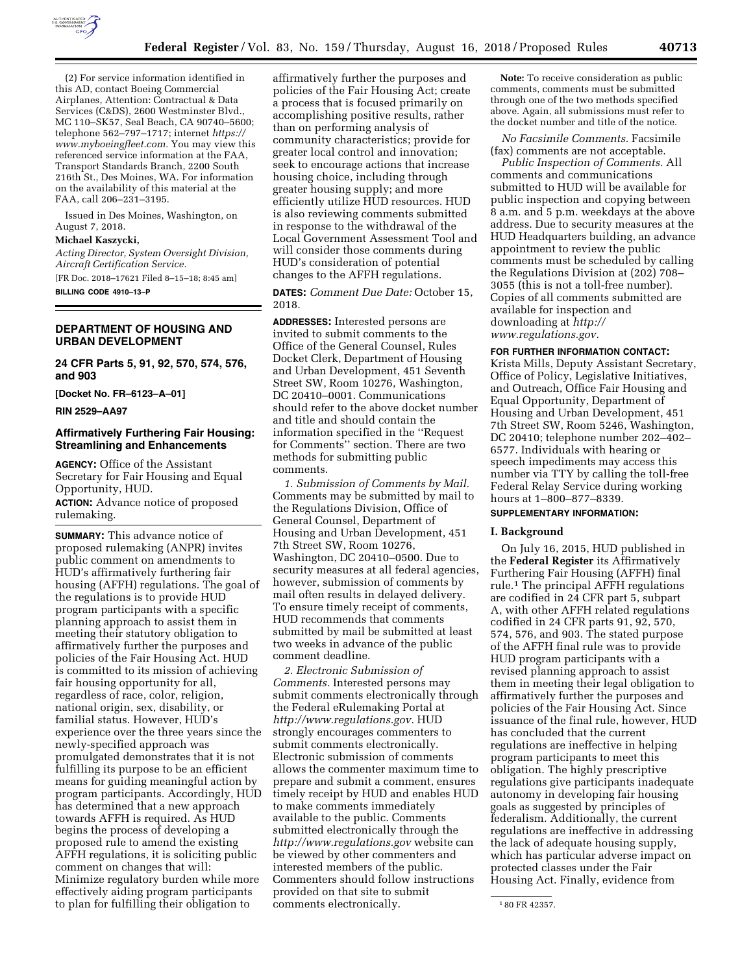

(2) For service information identified in this AD, contact Boeing Commercial Airplanes, Attention: Contractual & Data Services (C&DS), 2600 Westminster Blvd., MC 110–SK57, Seal Beach, CA 90740–5600; telephone 562–797–1717; internet *[https://](https://www.myboeingfleet.com) [www.myboeingfleet.com.](https://www.myboeingfleet.com)* You may view this referenced service information at the FAA, Transport Standards Branch, 2200 South 216th St., Des Moines, WA. For information on the availability of this material at the FAA, call 206–231–3195.

Issued in Des Moines, Washington, on August 7, 2018.

#### **Michael Kaszycki,**

*Acting Director, System Oversight Division, Aircraft Certification Service.*  [FR Doc. 2018–17621 Filed 8–15–18; 8:45 am]

**BILLING CODE 4910–13–P** 

### **DEPARTMENT OF HOUSING AND URBAN DEVELOPMENT**

**24 CFR Parts 5, 91, 92, 570, 574, 576, and 903** 

**[Docket No. FR–6123–A–01]** 

**RIN 2529–AA97** 

### **Affirmatively Furthering Fair Housing: Streamlining and Enhancements**

**AGENCY:** Office of the Assistant Secretary for Fair Housing and Equal Opportunity, HUD.

**ACTION:** Advance notice of proposed rulemaking.

**SUMMARY:** This advance notice of proposed rulemaking (ANPR) invites public comment on amendments to HUD's affirmatively furthering fair housing (AFFH) regulations. The goal of the regulations is to provide HUD program participants with a specific planning approach to assist them in meeting their statutory obligation to affirmatively further the purposes and policies of the Fair Housing Act. HUD is committed to its mission of achieving fair housing opportunity for all, regardless of race, color, religion, national origin, sex, disability, or familial status. However, HUD's experience over the three years since the newly-specified approach was promulgated demonstrates that it is not fulfilling its purpose to be an efficient means for guiding meaningful action by program participants. Accordingly, HUD has determined that a new approach towards AFFH is required. As HUD begins the process of developing a proposed rule to amend the existing AFFH regulations, it is soliciting public comment on changes that will: Minimize regulatory burden while more effectively aiding program participants to plan for fulfilling their obligation to

affirmatively further the purposes and policies of the Fair Housing Act; create a process that is focused primarily on accomplishing positive results, rather than on performing analysis of community characteristics; provide for greater local control and innovation; seek to encourage actions that increase housing choice, including through greater housing supply; and more efficiently utilize HUD resources. HUD is also reviewing comments submitted in response to the withdrawal of the Local Government Assessment Tool and will consider those comments during HUD's consideration of potential changes to the AFFH regulations.

**DATES:** *Comment Due Date:* October 15, 2018.

**ADDRESSES:** Interested persons are invited to submit comments to the Office of the General Counsel, Rules Docket Clerk, Department of Housing and Urban Development, 451 Seventh Street SW, Room 10276, Washington, DC 20410–0001. Communications should refer to the above docket number and title and should contain the information specified in the ''Request for Comments'' section. There are two methods for submitting public comments.

*1. Submission of Comments by Mail.*  Comments may be submitted by mail to the Regulations Division, Office of General Counsel, Department of Housing and Urban Development, 451 7th Street SW, Room 10276, Washington, DC 20410–0500. Due to security measures at all federal agencies, however, submission of comments by mail often results in delayed delivery. To ensure timely receipt of comments, HUD recommends that comments submitted by mail be submitted at least two weeks in advance of the public comment deadline.

*2. Electronic Submission of Comments.* Interested persons may submit comments electronically through the Federal eRulemaking Portal at *[http://www.regulations.gov.](http://www.regulations.gov)* HUD strongly encourages commenters to submit comments electronically. Electronic submission of comments allows the commenter maximum time to prepare and submit a comment, ensures timely receipt by HUD and enables HUD to make comments immediately available to the public. Comments submitted electronically through the *<http://www.regulations.gov>* website can be viewed by other commenters and interested members of the public. Commenters should follow instructions provided on that site to submit comments electronically.

**Note:** To receive consideration as public comments, comments must be submitted through one of the two methods specified above. Again, all submissions must refer to the docket number and title of the notice.

*No Facsimile Comments.* Facsimile (fax) comments are not acceptable.

*Public Inspection of Comments.* All comments and communications submitted to HUD will be available for public inspection and copying between 8 a.m. and 5 p.m. weekdays at the above address. Due to security measures at the HUD Headquarters building, an advance appointment to review the public comments must be scheduled by calling the Regulations Division at (202) 708– 3055 (this is not a toll-free number). Copies of all comments submitted are available for inspection and downloading at *[http://](http://www.regulations.gov) [www.regulations.gov.](http://www.regulations.gov)* 

# **FOR FURTHER INFORMATION CONTACT:**

Krista Mills, Deputy Assistant Secretary, Office of Policy, Legislative Initiatives, and Outreach, Office Fair Housing and Equal Opportunity, Department of Housing and Urban Development, 451 7th Street SW, Room 5246, Washington, DC 20410; telephone number 202–402– 6577. Individuals with hearing or speech impediments may access this number via TTY by calling the toll-free Federal Relay Service during working hours at 1–800–877–8339.

## **SUPPLEMENTARY INFORMATION:**

#### **I. Background**

On July 16, 2015, HUD published in the **Federal Register** its Affirmatively Furthering Fair Housing (AFFH) final rule.1 The principal AFFH regulations are codified in 24 CFR part 5, subpart A, with other AFFH related regulations codified in 24 CFR parts 91, 92, 570, 574, 576, and 903. The stated purpose of the AFFH final rule was to provide HUD program participants with a revised planning approach to assist them in meeting their legal obligation to affirmatively further the purposes and policies of the Fair Housing Act. Since issuance of the final rule, however, HUD has concluded that the current regulations are ineffective in helping program participants to meet this obligation. The highly prescriptive regulations give participants inadequate autonomy in developing fair housing goals as suggested by principles of federalism. Additionally, the current regulations are ineffective in addressing the lack of adequate housing supply, which has particular adverse impact on protected classes under the Fair Housing Act. Finally, evidence from

<sup>1</sup> 80 FR 42357.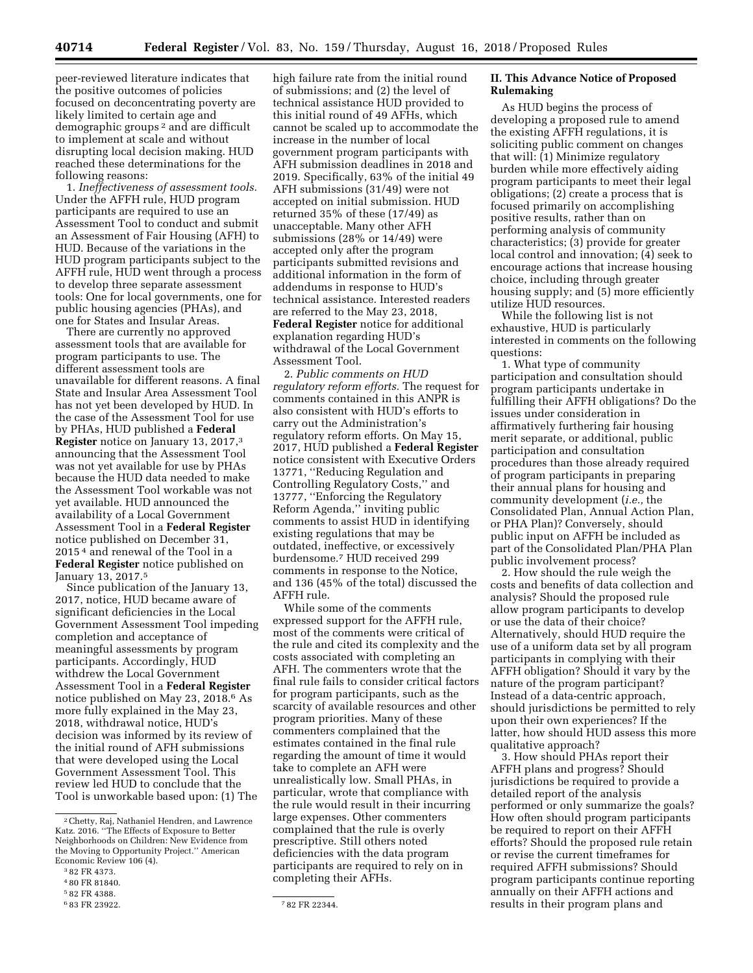peer-reviewed literature indicates that the positive outcomes of policies focused on deconcentrating poverty are likely limited to certain age and demographic groups 2 and are difficult to implement at scale and without disrupting local decision making. HUD reached these determinations for the following reasons:

1. *Ineffectiveness of assessment tools.*  Under the AFFH rule, HUD program participants are required to use an Assessment Tool to conduct and submit an Assessment of Fair Housing (AFH) to HUD. Because of the variations in the HUD program participants subject to the AFFH rule, HUD went through a process to develop three separate assessment tools: One for local governments, one for public housing agencies (PHAs), and one for States and Insular Areas.

There are currently no approved assessment tools that are available for program participants to use. The different assessment tools are unavailable for different reasons. A final State and Insular Area Assessment Tool has not yet been developed by HUD. In the case of the Assessment Tool for use by PHAs, HUD published a **Federal Register** notice on January 13, 2017,3 announcing that the Assessment Tool was not yet available for use by PHAs because the HUD data needed to make the Assessment Tool workable was not yet available. HUD announced the availability of a Local Government Assessment Tool in a **Federal Register**  notice published on December 31, 2015 4 and renewal of the Tool in a **Federal Register** notice published on January 13, 2017.5

Since publication of the January 13, 2017, notice, HUD became aware of significant deficiencies in the Local Government Assessment Tool impeding completion and acceptance of meaningful assessments by program participants. Accordingly, HUD withdrew the Local Government Assessment Tool in a **Federal Register**  notice published on May 23, 2018.6 As more fully explained in the May 23, 2018, withdrawal notice, HUD's decision was informed by its review of the initial round of AFH submissions that were developed using the Local Government Assessment Tool. This review led HUD to conclude that the Tool is unworkable based upon: (1) The

high failure rate from the initial round of submissions; and (2) the level of technical assistance HUD provided to this initial round of 49 AFHs, which cannot be scaled up to accommodate the increase in the number of local government program participants with AFH submission deadlines in 2018 and 2019. Specifically, 63% of the initial 49 AFH submissions (31/49) were not accepted on initial submission. HUD returned 35% of these (17/49) as unacceptable. Many other AFH submissions (28% or 14/49) were accepted only after the program participants submitted revisions and additional information in the form of addendums in response to HUD's technical assistance. Interested readers are referred to the May 23, 2018, **Federal Register** notice for additional explanation regarding HUD's withdrawal of the Local Government Assessment Tool.

2. *Public comments on HUD regulatory reform efforts.* The request for comments contained in this ANPR is also consistent with HUD's efforts to carry out the Administration's regulatory reform efforts. On May 15, 2017, HUD published a **Federal Register**  notice consistent with Executive Orders 13771, ''Reducing Regulation and Controlling Regulatory Costs,'' and 13777, ''Enforcing the Regulatory Reform Agenda,'' inviting public comments to assist HUD in identifying existing regulations that may be outdated, ineffective, or excessively burdensome.7 HUD received 299 comments in response to the Notice, and 136 (45% of the total) discussed the AFFH rule.

While some of the comments expressed support for the AFFH rule, most of the comments were critical of the rule and cited its complexity and the costs associated with completing an AFH. The commenters wrote that the final rule fails to consider critical factors for program participants, such as the scarcity of available resources and other program priorities. Many of these commenters complained that the estimates contained in the final rule regarding the amount of time it would take to complete an AFH were unrealistically low. Small PHAs, in particular, wrote that compliance with the rule would result in their incurring large expenses. Other commenters complained that the rule is overly prescriptive. Still others noted deficiencies with the data program participants are required to rely on in completing their AFHs.

### **II. This Advance Notice of Proposed Rulemaking**

As HUD begins the process of developing a proposed rule to amend the existing AFFH regulations, it is soliciting public comment on changes that will: (1) Minimize regulatory burden while more effectively aiding program participants to meet their legal obligations; (2) create a process that is focused primarily on accomplishing positive results, rather than on performing analysis of community characteristics; (3) provide for greater local control and innovation; (4) seek to encourage actions that increase housing choice, including through greater housing supply; and (5) more efficiently utilize HUD resources.

While the following list is not exhaustive, HUD is particularly interested in comments on the following questions:

1. What type of community participation and consultation should program participants undertake in fulfilling their AFFH obligations? Do the issues under consideration in affirmatively furthering fair housing merit separate, or additional, public participation and consultation procedures than those already required of program participants in preparing their annual plans for housing and community development (*i.e.,* the Consolidated Plan, Annual Action Plan, or PHA Plan)? Conversely, should public input on AFFH be included as part of the Consolidated Plan/PHA Plan public involvement process?

2. How should the rule weigh the costs and benefits of data collection and analysis? Should the proposed rule allow program participants to develop or use the data of their choice? Alternatively, should HUD require the use of a uniform data set by all program participants in complying with their AFFH obligation? Should it vary by the nature of the program participant? Instead of a data-centric approach, should jurisdictions be permitted to rely upon their own experiences? If the latter, how should HUD assess this more qualitative approach?

3. How should PHAs report their AFFH plans and progress? Should jurisdictions be required to provide a detailed report of the analysis performed or only summarize the goals? How often should program participants be required to report on their AFFH efforts? Should the proposed rule retain or revise the current timeframes for required AFFH submissions? Should program participants continue reporting annually on their AFFH actions and results in their program plans and

<sup>2</sup>Chetty, Raj, Nathaniel Hendren, and Lawrence Katz. 2016. ''The Effects of Exposure to Better Neighborhoods on Children: New Evidence from the Moving to Opportunity Project.'' American Economic Review 106 (4).

<sup>3</sup> 82 FR 4373.

<sup>4</sup> 80 FR 81840.

<sup>5</sup> 82 FR 4388.

<sup>6</sup> 83 FR 23922. 7 82 FR 22344.